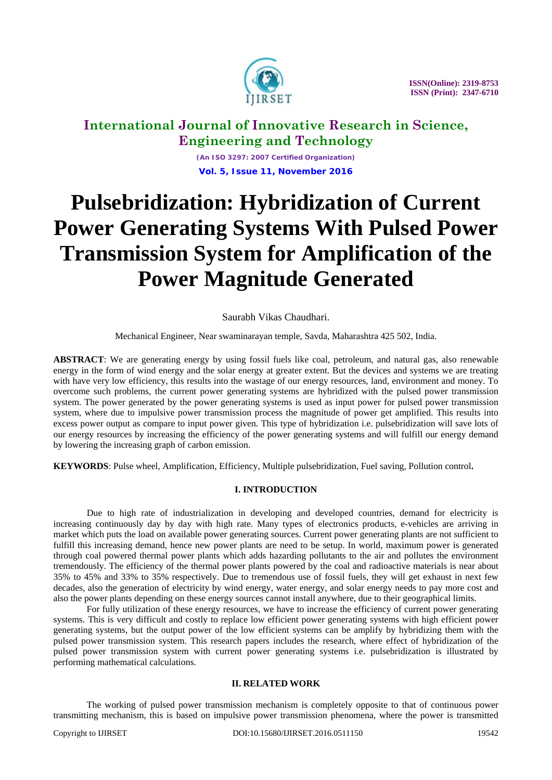

 **ISSN(Online): 2319-8753 ISSN (Print): 2347-6710**

## **International Journal of Innovative Research in Science, Engineering and Technology**

*(An ISO 3297: 2007 Certified Organization)* **Vol. 5, Issue 11, November 2016**

# **Pulsebridization: Hybridization of Current Power Generating Systems With Pulsed Power Transmission System for Amplification of the Power Magnitude Generated**

### Saurabh Vikas Chaudhari.

Mechanical Engineer, Near swaminarayan temple, Savda, Maharashtra 425 502, India.

**ABSTRACT**: We are generating energy by using fossil fuels like coal, petroleum, and natural gas, also renewable energy in the form of wind energy and the solar energy at greater extent. But the devices and systems we are treating with have very low efficiency, this results into the wastage of our energy resources, land, environment and money. To overcome such problems, the current power generating systems are hybridized with the pulsed power transmission system. The power generated by the power generating systems is used as input power for pulsed power transmission system, where due to impulsive power transmission process the magnitude of power get amplified. This results into excess power output as compare to input power given. This type of hybridization i.e. pulsebridization will save lots of our energy resources by increasing the efficiency of the power generating systems and will fulfill our energy demand by lowering the increasing graph of carbon emission.

**KEYWORDS**: Pulse wheel, Amplification, Efficiency, Multiple pulsebridization, Fuel saving, Pollution control**.**

### **I. INTRODUCTION**

Due to high rate of industrialization in developing and developed countries, demand for electricity is increasing continuously day by day with high rate. Many types of electronics products, e-vehicles are arriving in market which puts the load on available power generating sources. Current power generating plants are not sufficient to fulfill this increasing demand, hence new power plants are need to be setup. In world, maximum power is generated through coal powered thermal power plants which adds hazarding pollutants to the air and pollutes the environment tremendously. The efficiency of the thermal power plants powered by the coal and radioactive materials is near about 35% to 45% and 33% to 35% respectively. Due to tremendous use of fossil fuels, they will get exhaust in next few decades, also the generation of electricity by wind energy, water energy, and solar energy needs to pay more cost and also the power plants depending on these energy sources cannot install anywhere, due to their geographical limits.

For fully utilization of these energy resources, we have to increase the efficiency of current power generating systems. This is very difficult and costly to replace low efficient power generating systems with high efficient power generating systems, but the output power of the low efficient systems can be amplify by hybridizing them with the pulsed power transmission system. This research papers includes the research, where effect of hybridization of the pulsed power transmission system with current power generating systems i.e. pulsebridization is illustrated by performing mathematical calculations.

#### **II. RELATED WORK**

The working of pulsed power transmission mechanism is completely opposite to that of continuous power transmitting mechanism, this is based on impulsive power transmission phenomena, where the power is transmitted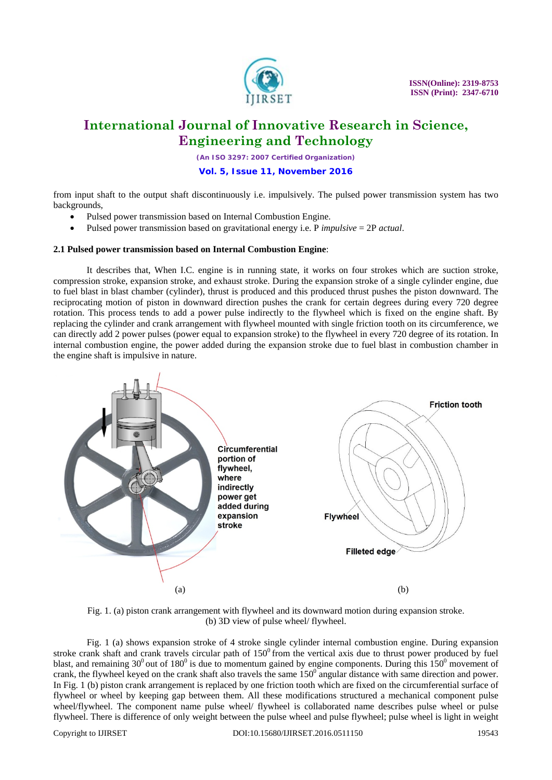

 **ISSN(Online): 2319-8753 ISSN (Print): 2347-6710**

## **International Journal of Innovative Research in Science, Engineering and Technology**

*(An ISO 3297: 2007 Certified Organization)* **Vol. 5, Issue 11, November 2016**

from input shaft to the output shaft discontinuously i.e. impulsively. The pulsed power transmission system has two backgrounds,

- Pulsed power transmission based on Internal Combustion Engine.
- Pulsed power transmission based on gravitational energy i.e. P *impulsive* = 2P *actual*.

#### **2.1 Pulsed power transmission based on Internal Combustion Engine**:

It describes that, When I.C. engine is in running state, it works on four strokes which are suction stroke, compression stroke, expansion stroke, and exhaust stroke. During the expansion stroke of a single cylinder engine, due to fuel blast in blast chamber (cylinder), thrust is produced and this produced thrust pushes the piston downward. The reciprocating motion of piston in downward direction pushes the crank for certain degrees during every 720 degree rotation. This process tends to add a power pulse indirectly to the flywheel which is fixed on the engine shaft. By replacing the cylinder and crank arrangement with flywheel mounted with single friction tooth on its circumference, we can directly add 2 power pulses (power equal to expansion stroke) to the flywheel in every 720 degree of its rotation. In internal combustion engine, the power added during the expansion stroke due to fuel blast in combustion chamber in the engine shaft is impulsive in nature.



Fig. 1. (a) piston crank arrangement with flywheel and its downward motion during expansion stroke. (b) 3D view of pulse wheel/ flywheel.

Fig. 1 (a) shows expansion stroke of 4 stroke single cylinder internal combustion engine. During expansion stroke crank shaft and crank travels circular path of  $150<sup>0</sup>$  from the vertical axis due to thrust power produced by fuel blast, and remaining  $30^0$  out of  $180^0$  is due to momentum gained by engine components. During this  $150^0$  movement of crank, the flywheel keyed on the crank shaft also travels the same  $150^\circ$  angular distance with same direction and power. In Fig. 1 (b) piston crank arrangement is replaced by one friction tooth which are fixed on the circumferential surface of flywheel or wheel by keeping gap between them. All these modifications structured a mechanical component pulse wheel/flywheel. The component name pulse wheel/ flywheel is collaborated name describes pulse wheel or pulse flywheel. There is difference of only weight between the pulse wheel and pulse flywheel; pulse wheel is light in weight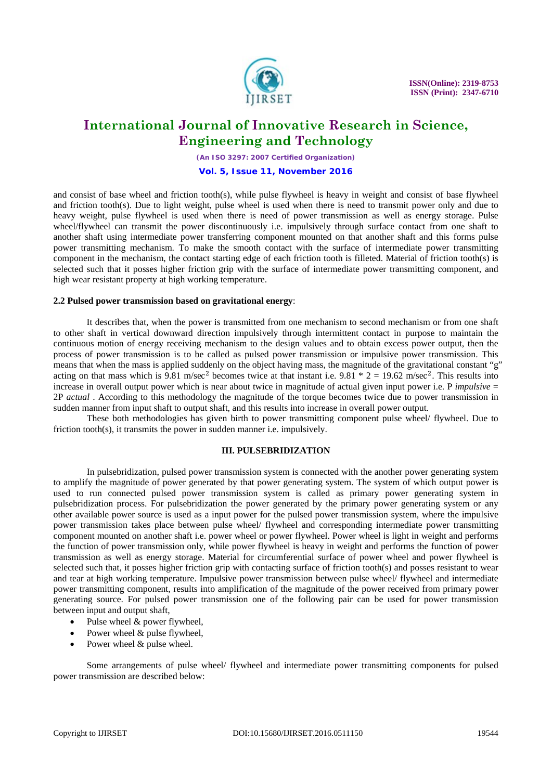

*(An ISO 3297: 2007 Certified Organization)* **Vol. 5, Issue 11, November 2016**

and consist of base wheel and friction tooth(s), while pulse flywheel is heavy in weight and consist of base flywheel and friction tooth(s). Due to light weight, pulse wheel is used when there is need to transmit power only and due to heavy weight, pulse flywheel is used when there is need of power transmission as well as energy storage. Pulse wheel/flywheel can transmit the power discontinuously i.e. impulsively through surface contact from one shaft to another shaft using intermediate power transferring component mounted on that another shaft and this forms pulse power transmitting mechanism. To make the smooth contact with the surface of intermediate power transmitting component in the mechanism, the contact starting edge of each friction tooth is filleted. Material of friction tooth(s) is selected such that it posses higher friction grip with the surface of intermediate power transmitting component, and high wear resistant property at high working temperature.

#### **2.2 Pulsed power transmission based on gravitational energy**:

It describes that, when the power is transmitted from one mechanism to second mechanism or from one shaft to other shaft in vertical downward direction impulsively through intermittent contact in purpose to maintain the continuous motion of energy receiving mechanism to the design values and to obtain excess power output, then the process of power transmission is to be called as pulsed power transmission or impulsive power transmission. This means that when the mass is applied suddenly on the object having mass, the magnitude of the gravitational constant "g" acting on that mass which is 9.81 m/sec<sup>2</sup> becomes twice at that instant i.e.  $9.81 * 2 = 19.62$  m/sec<sup>2</sup>. This results into increase in overall output power which is near about twice in magnitude of actual given input power i.e. P *impulsive* = 2P *actual* . According to this methodology the magnitude of the torque becomes twice due to power transmission in sudden manner from input shaft to output shaft, and this results into increase in overall power output.

These both methodologies has given birth to power transmitting component pulse wheel/ flywheel. Due to friction tooth(s), it transmits the power in sudden manner i.e. impulsively.

#### **III. PULSEBRIDIZATION**

In pulsebridization, pulsed power transmission system is connected with the another power generating system to amplify the magnitude of power generated by that power generating system. The system of which output power is used to run connected pulsed power transmission system is called as primary power generating system in pulsebridization process. For pulsebridization the power generated by the primary power generating system or any other available power source is used as a input power for the pulsed power transmission system, where the impulsive power transmission takes place between pulse wheel/ flywheel and corresponding intermediate power transmitting component mounted on another shaft i.e. power wheel or power flywheel. Power wheel is light in weight and performs the function of power transmission only, while power flywheel is heavy in weight and performs the function of power transmission as well as energy storage. Material for circumferential surface of power wheel and power flywheel is selected such that, it posses higher friction grip with contacting surface of friction tooth(s) and posses resistant to wear and tear at high working temperature. Impulsive power transmission between pulse wheel/ flywheel and intermediate power transmitting component, results into amplification of the magnitude of the power received from primary power generating source. For pulsed power transmission one of the following pair can be used for power transmission between input and output shaft,

- Pulse wheel & power flywheel,
- Power wheel & pulse flywheel,
- Power wheel & pulse wheel.

Some arrangements of pulse wheel/ flywheel and intermediate power transmitting components for pulsed power transmission are described below: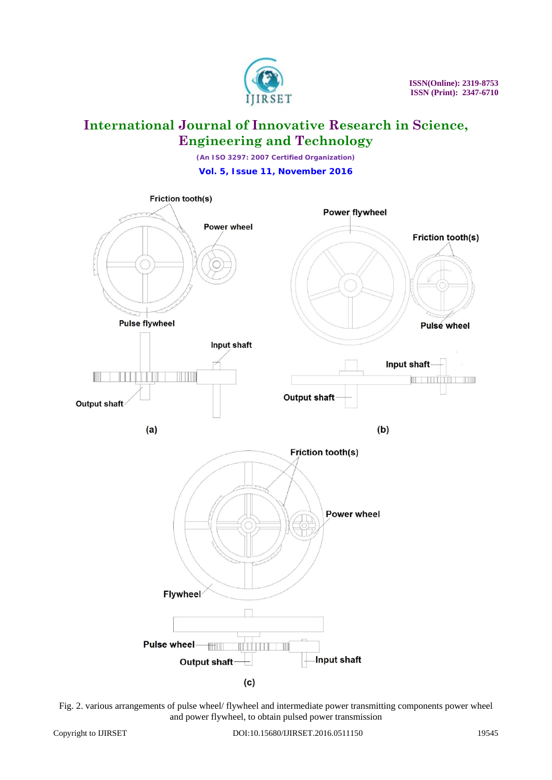

*(An ISO 3297: 2007 Certified Organization)* **Vol. 5, Issue 11, November 2016**



Fig. 2. various arrangements of pulse wheel/ flywheel and intermediate power transmitting components power wheel and power flywheel, to obtain pulsed power transmission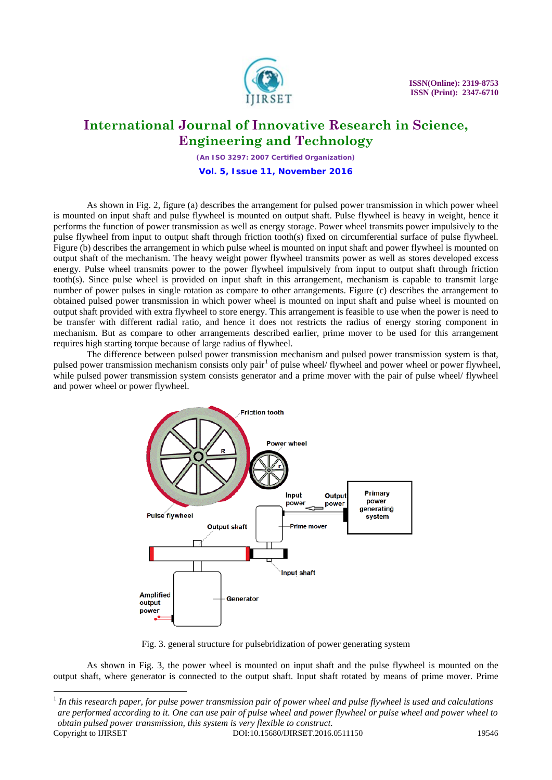

*(An ISO 3297: 2007 Certified Organization)* **Vol. 5, Issue 11, November 2016**

As shown in Fig. 2, figure (a) describes the arrangement for pulsed power transmission in which power wheel is mounted on input shaft and pulse flywheel is mounted on output shaft. Pulse flywheel is heavy in weight, hence it performs the function of power transmission as well as energy storage. Power wheel transmits power impulsively to the pulse flywheel from input to output shaft through friction tooth(s) fixed on circumferential surface of pulse flywheel. Figure (b) describes the arrangement in which pulse wheel is mounted on input shaft and power flywheel is mounted on output shaft of the mechanism. The heavy weight power flywheel transmits power as well as stores developed excess energy. Pulse wheel transmits power to the power flywheel impulsively from input to output shaft through friction tooth(s). Since pulse wheel is provided on input shaft in this arrangement, mechanism is capable to transmit large number of power pulses in single rotation as compare to other arrangements. Figure (c) describes the arrangement to obtained pulsed power transmission in which power wheel is mounted on input shaft and pulse wheel is mounted on output shaft provided with extra flywheel to store energy. This arrangement is feasible to use when the power is need to be transfer with different radial ratio, and hence it does not restricts the radius of energy storing component in mechanism. But as compare to other arrangements described earlier, prime mover to be used for this arrangement requires high starting torque because of large radius of flywheel.

The difference between pulsed power transmission mechanism and pulsed power transmission system is that, pulsed power transmission mechanism consists only pair<sup>[1](#page-4-0)</sup> of pulse wheel/ flywheel and power wheel or power flywheel, while pulsed power transmission system consists generator and a prime mover with the pair of pulse wheel/ flywheel and power wheel or power flywheel.



Fig. 3. general structure for pulsebridization of power generating system

As shown in Fig. 3, the power wheel is mounted on input shaft and the pulse flywheel is mounted on the output shaft, where generator is connected to the output shaft. Input shaft rotated by means of prime mover. Prime

 $\overline{a}$ 

<span id="page-4-0"></span><sup>&</sup>lt;sup>1</sup> In this research paper, for pulse power transmission pair of power wheel and pulse flywheel is used and calculations *are performed according to it. One can use pair of pulse wheel and power flywheel or pulse wheel and power wheel to obtain pulsed power transmission, this system is very flexible to construct.*  Copyright to IJIRSET **DOI:10.15680/IJIRSET.2016.0511150** 19546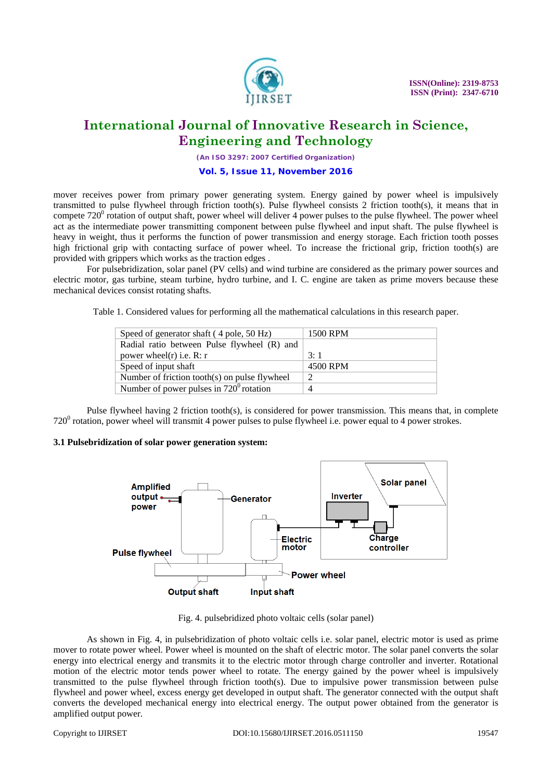

*(An ISO 3297: 2007 Certified Organization)* **Vol. 5, Issue 11, November 2016**

mover receives power from primary power generating system. Energy gained by power wheel is impulsively transmitted to pulse flywheel through friction tooth(s). Pulse flywheel consists 2 friction tooth(s), it means that in compete  $720^{\circ}$  rotation of output shaft, power wheel will deliver 4 power pulses to the pulse flywheel. The power wheel act as the intermediate power transmitting component between pulse flywheel and input shaft. The pulse flywheel is heavy in weight, thus it performs the function of power transmission and energy storage. Each friction tooth posses high frictional grip with contacting surface of power wheel. To increase the frictional grip, friction tooth(s) are provided with grippers which works as the traction edges .

For pulsebridization, solar panel (PV cells) and wind turbine are considered as the primary power sources and electric motor, gas turbine, steam turbine, hydro turbine, and I. C. engine are taken as prime movers because these mechanical devices consist rotating shafts.

Table 1. Considered values for performing all the mathematical calculations in this research paper.

| Speed of generator shaft (4 pole, 50 Hz)         | 1500 RPM |
|--------------------------------------------------|----------|
| Radial ratio between Pulse flywheel (R) and      |          |
| power wheel $(r)$ i.e. R: r                      | 3:1      |
| Speed of input shaft                             | 4500 RPM |
| Number of friction tooth(s) on pulse flywheel    | റ        |
| Number of power pulses in $720^{\circ}$ rotation | 4        |

Pulse flywheel having 2 friction tooth(s), is considered for power transmission. This means that, in complete  $720^{\circ}$  rotation, power wheel will transmit 4 power pulses to pulse flywheel i.e. power equal to 4 power strokes.

### **3.1 Pulsebridization of solar power generation system:**



Fig. 4. pulsebridized photo voltaic cells (solar panel)

As shown in Fig. 4, in pulsebridization of photo voltaic cells i.e. solar panel, electric motor is used as prime mover to rotate power wheel. Power wheel is mounted on the shaft of electric motor. The solar panel converts the solar energy into electrical energy and transmits it to the electric motor through charge controller and inverter. Rotational motion of the electric motor tends power wheel to rotate. The energy gained by the power wheel is impulsively transmitted to the pulse flywheel through friction tooth(s). Due to impulsive power transmission between pulse flywheel and power wheel, excess energy get developed in output shaft. The generator connected with the output shaft converts the developed mechanical energy into electrical energy. The output power obtained from the generator is amplified output power.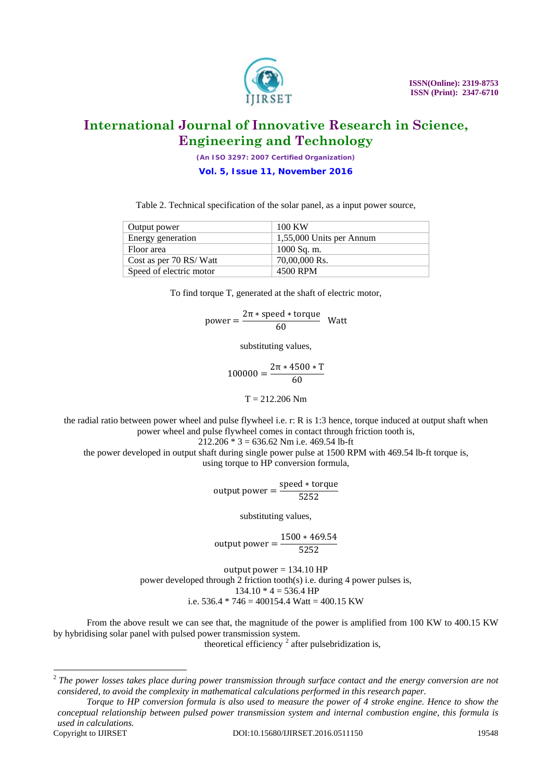

*(An ISO 3297: 2007 Certified Organization)* **Vol. 5, Issue 11, November 2016**

Table 2. Technical specification of the solar panel, as a input power source,

| Output power            | 100 KW                   |
|-------------------------|--------------------------|
| Energy generation       | 1,55,000 Units per Annum |
| Floor area              | $1000$ Sq. m.            |
| Cost as per 70 RS/Watt  | 70,00,000 Rs.            |
| Speed of electric motor | 4500 RPM                 |

To find torque T, generated at the shaft of electric motor,

 $power = \frac{2\pi * speed * torque}{60}$  Watt

substituting values,

$$
100000 = \frac{2\pi * 4500 * T}{60}
$$

 $T = 212.206$  Nm

the radial ratio between power wheel and pulse flywheel i.e. r: R is 1:3 hence, torque induced at output shaft when power wheel and pulse flywheel comes in contact through friction tooth is,

 $212.206 * 3 = 636.62$  Nm i.e. 469.54 lb-ft

the power developed in output shaft during single power pulse at 1500 RPM with 469.54 lb-ft torque is, using torque to HP conversion formula,

output power =  $\frac{\text{speed} * \text{torque}}{5252}$ 

substituting values,

output power =  $\frac{1500 * 469.54}{5252}$ 

output power  $= 134.10$  HP power developed through 2 friction tooth(s) i.e. during 4 power pulses is,  $134.10 * 4 = 536.4 H$ P i.e.  $536.4 * 746 = 400154.4$  Watt =  $400.15$  KW

From the above result we can see that, the magnitude of the power is amplified from 100 KW to 400.15 KW by hybridising solar panel with pulsed power transmission system.

theoretical efficiency  $2$  after pulsebridization is,

 $\overline{a}$ 

<span id="page-6-0"></span><sup>2</sup> *The power losses takes place during power transmission through surface contact and the energy conversion are not considered, to avoid the complexity in mathematical calculations performed in this research paper.*

*Torque to HP conversion formula is also used to measure the power of 4 stroke engine. Hence to show the conceptual relationship between pulsed power transmission system and internal combustion engine, this formula is used in calculations.*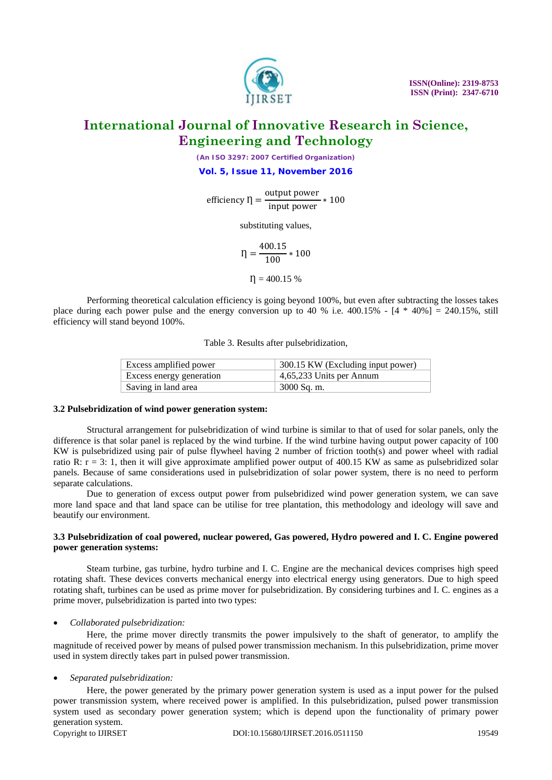

*(An ISO 3297: 2007 Certified Organization)* **Vol. 5, Issue 11, November 2016**

efficiency  $\eta = \frac{\text{output power}}{\text{input power}} * 100$ 

substituting values,

 $\eta = \frac{400.15}{100} * 100$ 

 $\eta = 400.15 %$ 

Performing theoretical calculation efficiency is going beyond 100%, but even after subtracting the losses takes place during each power pulse and the energy conversion up to 40 % i.e.  $400.15\%$  -  $[4 * 40%] = 240.15\%$ , still efficiency will stand beyond 100%.

Table 3. Results after pulsebridization,

| Excess amplified power   | 300.15 KW (Excluding input power) |
|--------------------------|-----------------------------------|
| Excess energy generation | 4,65,233 Units per Annum          |
| Saving in land area      | 3000 Sq. m.                       |

#### **3.2 Pulsebridization of wind power generation system:**

Structural arrangement for pulsebridization of wind turbine is similar to that of used for solar panels, only the difference is that solar panel is replaced by the wind turbine. If the wind turbine having output power capacity of 100 KW is pulsebridized using pair of pulse flywheel having 2 number of friction tooth(s) and power wheel with radial ratio R:  $r = 3$ : 1, then it will give approximate amplified power output of 400.15 KW as same as pulsebridized solar panels. Because of same considerations used in pulsebridization of solar power system, there is no need to perform separate calculations.

Due to generation of excess output power from pulsebridized wind power generation system, we can save more land space and that land space can be utilise for tree plantation, this methodology and ideology will save and beautify our environment.

### **3.3 Pulsebridization of coal powered, nuclear powered, Gas powered, Hydro powered and I. C. Engine powered power generation systems:**

Steam turbine, gas turbine, hydro turbine and I. C. Engine are the mechanical devices comprises high speed rotating shaft. These devices converts mechanical energy into electrical energy using generators. Due to high speed rotating shaft, turbines can be used as prime mover for pulsebridization. By considering turbines and I. C. engines as a prime mover, pulsebridization is parted into two types:

### • *Collaborated pulsebridization:*

Here, the prime mover directly transmits the power impulsively to the shaft of generator, to amplify the magnitude of received power by means of pulsed power transmission mechanism. In this pulsebridization, prime mover used in system directly takes part in pulsed power transmission.

• *Separated pulsebridization:*

Here, the power generated by the primary power generation system is used as a input power for the pulsed power transmission system, where received power is amplified. In this pulsebridization, pulsed power transmission system used as secondary power generation system; which is depend upon the functionality of primary power generation system.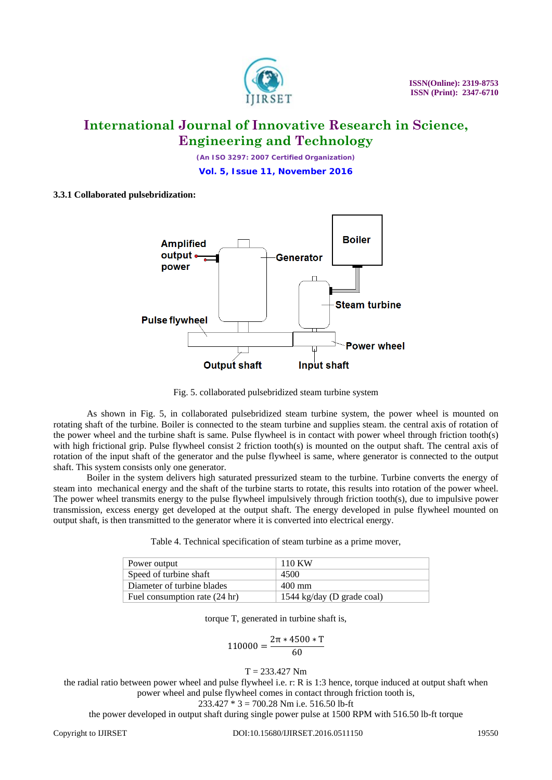

*(An ISO 3297: 2007 Certified Organization)* **Vol. 5, Issue 11, November 2016**

### **3.3.1 Collaborated pulsebridization:**



Fig. 5. collaborated pulsebridized steam turbine system

As shown in Fig. 5, in collaborated pulsebridized steam turbine system, the power wheel is mounted on rotating shaft of the turbine. Boiler is connected to the steam turbine and supplies steam. the central axis of rotation of the power wheel and the turbine shaft is same. Pulse flywheel is in contact with power wheel through friction tooth(s) with high frictional grip. Pulse flywheel consist 2 friction tooth(s) is mounted on the output shaft. The central axis of rotation of the input shaft of the generator and the pulse flywheel is same, where generator is connected to the output shaft. This system consists only one generator.

Boiler in the system delivers high saturated pressurized steam to the turbine. Turbine converts the energy of steam into mechanical energy and the shaft of the turbine starts to rotate, this results into rotation of the power wheel. The power wheel transmits energy to the pulse flywheel impulsively through friction tooth(s), due to impulsive power transmission, excess energy get developed at the output shaft. The energy developed in pulse flywheel mounted on output shaft, is then transmitted to the generator where it is converted into electrical energy.

| Table 4. Technical specification of steam turbine as a prime mover, |
|---------------------------------------------------------------------|
|---------------------------------------------------------------------|

| Power output                  | 110 KW                     |
|-------------------------------|----------------------------|
| Speed of turbine shaft        | 4500                       |
| Diameter of turbine blades    | 400 mm                     |
| Fuel consumption rate (24 hr) | 1544 kg/day (D grade coal) |

torque T, generated in turbine shaft is,

$$
110000 = \frac{2\pi * 4500 * T}{60}
$$

#### $T = 233.427$  Nm

the radial ratio between power wheel and pulse flywheel i.e. r: R is 1:3 hence, torque induced at output shaft when power wheel and pulse flywheel comes in contact through friction tooth is,

233.427 \* 3 = 700.28 Nm i.e. 516.50 lb-ft

the power developed in output shaft during single power pulse at 1500 RPM with 516.50 lb-ft torque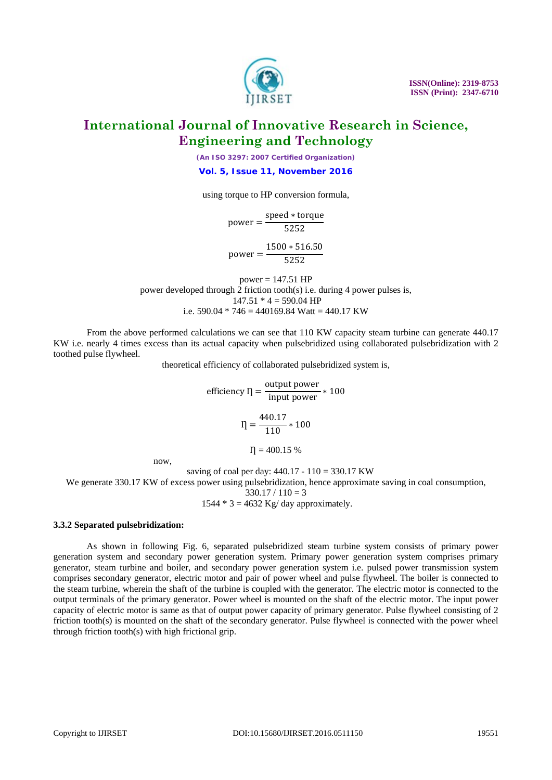

*(An ISO 3297: 2007 Certified Organization)* **Vol. 5, Issue 11, November 2016**

using torque to HP conversion formula,

 $power = \frac{speed * torque}{5252}$ 

 $power = \frac{1500 * 516.50}{5252}$ 

 $power = 147.51$  HP power developed through  $\overline{2}$  friction tooth(s) i.e. during 4 power pulses is,  $147.51 * 4 = 590.04$  HP i.e.  $590.04 * 746 = 440169.84$  Watt = 440.17 KW

From the above performed calculations we can see that 110 KW capacity steam turbine can generate 440.17 KW i.e. nearly 4 times excess than its actual capacity when pulsebridized using collaborated pulsebridization with 2 toothed pulse flywheel.

theoretical efficiency of collaborated pulsebridized system is,

efficiency  $\eta = \frac{\text{output power}}{\text{input power}} * 100$  $I = \frac{440.17}{110} * 100$  $\eta = 400.15 %$ 

now,

saving of coal per day: 440.17 - 110 = 330.17 KW

We generate 330.17 KW of excess power using pulsebridization, hence approximate saving in coal consumption,

 $330.17 / 110 = 3$ 

 $1544 * 3 = 4632$  Kg/ day approximately.

#### **3.3.2 Separated pulsebridization:**

As shown in following Fig. 6, separated pulsebridized steam turbine system consists of primary power generation system and secondary power generation system. Primary power generation system comprises primary generator, steam turbine and boiler, and secondary power generation system i.e. pulsed power transmission system comprises secondary generator, electric motor and pair of power wheel and pulse flywheel. The boiler is connected to the steam turbine, wherein the shaft of the turbine is coupled with the generator. The electric motor is connected to the output terminals of the primary generator. Power wheel is mounted on the shaft of the electric motor. The input power capacity of electric motor is same as that of output power capacity of primary generator. Pulse flywheel consisting of 2 friction tooth(s) is mounted on the shaft of the secondary generator. Pulse flywheel is connected with the power wheel through friction tooth(s) with high frictional grip.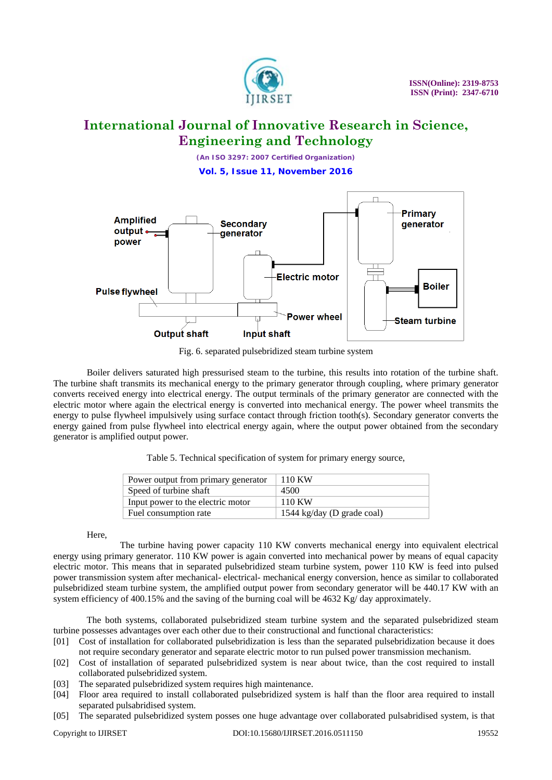

*(An ISO 3297: 2007 Certified Organization)* **Vol. 5, Issue 11, November 2016**



Fig. 6. separated pulsebridized steam turbine system

Boiler delivers saturated high pressurised steam to the turbine, this results into rotation of the turbine shaft. The turbine shaft transmits its mechanical energy to the primary generator through coupling, where primary generator converts received energy into electrical energy. The output terminals of the primary generator are connected with the electric motor where again the electrical energy is converted into mechanical energy. The power wheel transmits the energy to pulse flywheel impulsively using surface contact through friction tooth(s). Secondary generator converts the energy gained from pulse flywheel into electrical energy again, where the output power obtained from the secondary generator is amplified output power.

Table 5. Technical specification of system for primary energy source,

| Power output from primary generator | 110 KW                     |
|-------------------------------------|----------------------------|
| Speed of turbine shaft              | 4500                       |
| Input power to the electric motor   | 110 KW                     |
| Fuel consumption rate               | 1544 kg/day (D grade coal) |

Here,

The turbine having power capacity 110 KW converts mechanical energy into equivalent electrical energy using primary generator. 110 KW power is again converted into mechanical power by means of equal capacity electric motor. This means that in separated pulsebridized steam turbine system, power 110 KW is feed into pulsed power transmission system after mechanical- electrical- mechanical energy conversion, hence as similar to collaborated pulsebridized steam turbine system, the amplified output power from secondary generator will be 440.17 KW with an system efficiency of 400.15% and the saving of the burning coal will be 4632 Kg/ day approximately.

The both systems, collaborated pulsebridized steam turbine system and the separated pulsebridized steam turbine possesses advantages over each other due to their constructional and functional characteristics:

- [01] Cost of installation for collaborated pulsebridization is less than the separated pulsebridization because it does not require secondary generator and separate electric motor to run pulsed power transmission mechanism.
- [02] Cost of installation of separated pulsebridized system is near about twice, than the cost required to install collaborated pulsebridized system.
- [03] The separated pulsebridized system requires high maintenance.
- [04] Floor area required to install collaborated pulsebridized system is half than the floor area required to install separated pulsabridised system.
- [05] The separated pulsebridized system posses one huge advantage over collaborated pulsabridised system, is that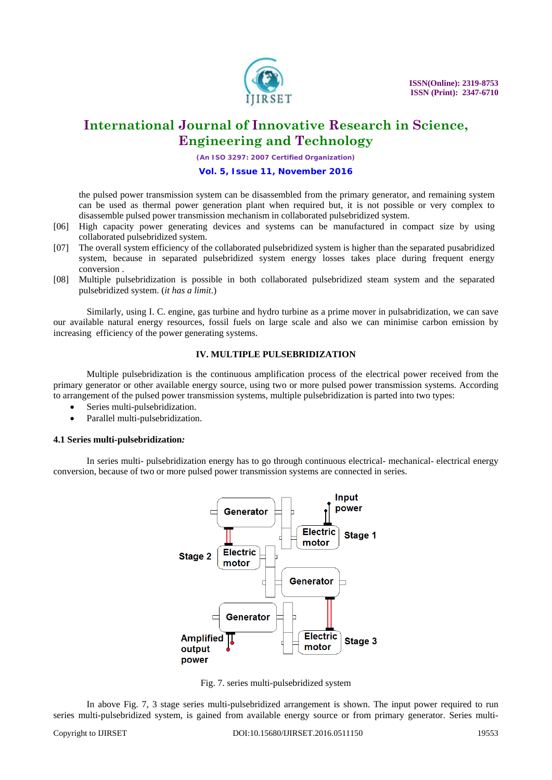

*(An ISO 3297: 2007 Certified Organization)*

**Vol. 5, Issue 11, November 2016**

the pulsed power transmission system can be disassembled from the primary generator, and remaining system can be used as thermal power generation plant when required but, it is not possible or very complex to disassemble pulsed power transmission mechanism in collaborated pulsebridized system.

- [06] High capacity power generating devices and systems can be manufactured in compact size by using collaborated pulsebridized system.
- [07] The overall system efficiency of the collaborated pulsebridized system is higher than the separated pusabridized system, because in separated pulsebridized system energy losses takes place during frequent energy conversion .
- [08] Multiple pulsebridization is possible in both collaborated pulsebridized steam system and the separated pulsebridized system. (*it has a limit*.)

Similarly, using I. C. engine, gas turbine and hydro turbine as a prime mover in pulsabridization, we can save our available natural energy resources, fossil fuels on large scale and also we can minimise carbon emission by increasing efficiency of the power generating systems.

### **IV. MULTIPLE PULSEBRIDIZATION**

Multiple pulsebridization is the continuous amplification process of the electrical power received from the primary generator or other available energy source, using two or more pulsed power transmission systems. According to arrangement of the pulsed power transmission systems, multiple pulsebridization is parted into two types:

- Series multi-pulsebridization.
- Parallel multi-pulsebridization.

### **4.1 Series multi-pulsebridization***:*

In series multi- pulsebridization energy has to go through continuous electrical- mechanical- electrical energy conversion, because of two or more pulsed power transmission systems are connected in series.



Fig. 7. series multi-pulsebridized system

In above Fig. 7, 3 stage series multi-pulsebridized arrangement is shown. The input power required to run series multi-pulsebridized system, is gained from available energy source or from primary generator. Series multi-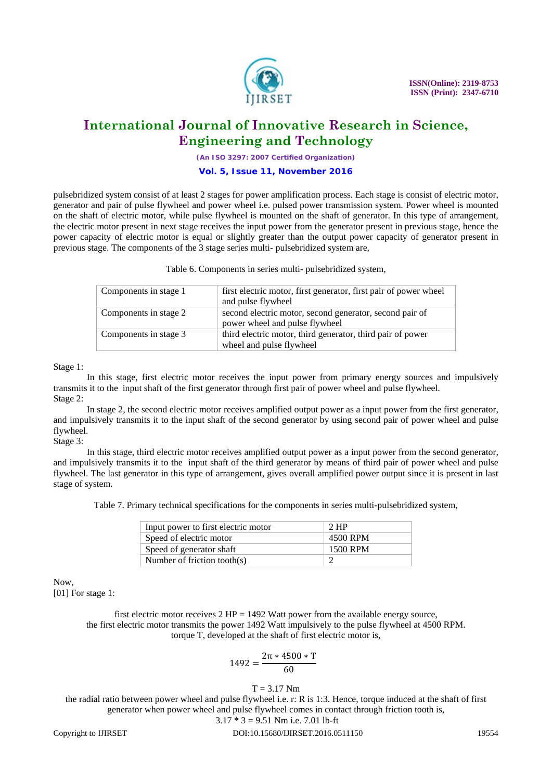

*(An ISO 3297: 2007 Certified Organization)*

#### **Vol. 5, Issue 11, November 2016**

pulsebridized system consist of at least 2 stages for power amplification process. Each stage is consist of electric motor, generator and pair of pulse flywheel and power wheel i.e. pulsed power transmission system. Power wheel is mounted on the shaft of electric motor, while pulse flywheel is mounted on the shaft of generator. In this type of arrangement, the electric motor present in next stage receives the input power from the generator present in previous stage, hence the power capacity of electric motor is equal or slightly greater than the output power capacity of generator present in previous stage. The components of the 3 stage series multi- pulsebridized system are,

Table 6. Components in series multi- pulsebridized system,

| Components in stage 1 | first electric motor, first generator, first pair of power wheel |
|-----------------------|------------------------------------------------------------------|
|                       | and pulse flywheel                                               |
| Components in stage 2 | second electric motor, second generator, second pair of          |
|                       | power wheel and pulse flywheel                                   |
| Components in stage 3 | third electric motor, third generator, third pair of power       |
|                       | wheel and pulse flywheel                                         |
|                       |                                                                  |

Stage 1:

In this stage, first electric motor receives the input power from primary energy sources and impulsively transmits it to the input shaft of the first generator through first pair of power wheel and pulse flywheel. Stage 2:

In stage 2, the second electric motor receives amplified output power as a input power from the first generator, and impulsively transmits it to the input shaft of the second generator by using second pair of power wheel and pulse flywheel.

### Stage 3:

In this stage, third electric motor receives amplified output power as a input power from the second generator, and impulsively transmits it to the input shaft of the third generator by means of third pair of power wheel and pulse flywheel. The last generator in this type of arrangement, gives overall amplified power output since it is present in last stage of system.

Table 7. Primary technical specifications for the components in series multi-pulsebridized system,

| Input power to first electric motor | $2$ HP   |
|-------------------------------------|----------|
| Speed of electric motor             | 4500 RPM |
| Speed of generator shaft            | 1500 RPM |
| Number of friction tooth $(s)$      |          |

Now, [01] For stage 1:

> first electric motor receives  $2$  HP = 1492 Watt power from the available energy source, the first electric motor transmits the power 1492 Watt impulsively to the pulse flywheel at 4500 RPM. torque T, developed at the shaft of first electric motor is,

$$
1492 = \frac{2\pi * 4500 * T}{60}
$$

 $T = 3.17$  Nm

the radial ratio between power wheel and pulse flywheel i.e. r: R is 1:3. Hence, torque induced at the shaft of first generator when power wheel and pulse flywheel comes in contact through friction tooth is,

### $3.17 * 3 = 9.51$  Nm i.e. 7.01 lb-ft

Copyright to IJIRSET **DOI:10.15680/IJIRSET.2016.0511150** 19554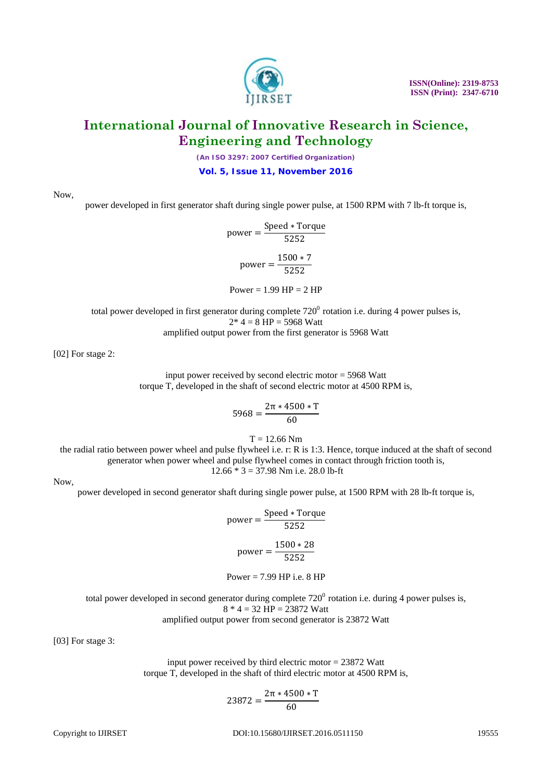*(An ISO 3297: 2007 Certified Organization)*

**Vol. 5, Issue 11, November 2016**

Now,

power developed in first generator shaft during single power pulse, at 1500 RPM with 7 lb-ft torque is,

 $power = \frac{Speed * Torque}{5252}$  $power = \frac{1500 * 7}{5252}$ Power =  $1.99$  HP =  $2$  HP

total power developed in first generator during complete  $720^0$  rotation i.e. during 4 power pulses is,  $2* 4 = 8 HP = 5968$  Watt

amplified output power from the first generator is 5968 Watt

[02] For stage 2:

input power received by second electric motor = 5968 Watt torque T, developed in the shaft of second electric motor at 4500 RPM is,

$$
5968 = \frac{2\pi * 4500 * T}{60}
$$

 $T = 12.66$  Nm

the radial ratio between power wheel and pulse flywheel i.e. r: R is 1:3. Hence, torque induced at the shaft of second generator when power wheel and pulse flywheel comes in contact through friction tooth is,  $12.66 * 3 = 37.98$  Nm i.e. 28.0 lb-ft

Now,

power developed in second generator shaft during single power pulse, at 1500 RPM with 28 lb-ft torque is,

 $power = \frac{Speed * Torque}{5252}$  $power = \frac{1500 * 28}{5252}$ 

Power =  $7.99$  HP i.e.  $8$  HP

total power developed in second generator during complete  $720^{\circ}$  rotation i.e. during 4 power pulses is,  $8 * 4 = 32$  HP = 23872 Watt amplified output power from second generator is 23872 Watt

[03] For stage 3:

input power received by third electric motor = 23872 Watt torque T, developed in the shaft of third electric motor at 4500 RPM is,

$$
23872 = \frac{2\pi * 4500 * T}{60}
$$



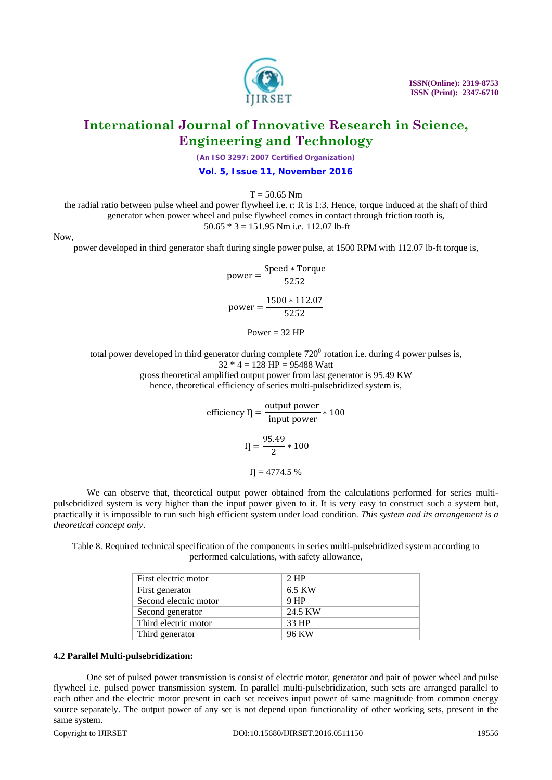*(An ISO 3297: 2007 Certified Organization)*

**Vol. 5, Issue 11, November 2016**

 $T = 50.65$  Nm

the radial ratio between pulse wheel and power flywheel i.e. r: R is 1:3. Hence, torque induced at the shaft of third generator when power wheel and pulse flywheel comes in contact through friction tooth is, 50.65 \* 3 = 151.95 Nm i.e. 112.07 lb-ft

Now,

power developed in third generator shaft during single power pulse, at 1500 RPM with 112.07 lb-ft torque is,

power = 
$$
\frac{\text{Speed} * \text{Torque}}{5252}
$$

$$
\text{power} = \frac{1500 * 112.07}{5252}
$$

Power  $= 32$  HP

total power developed in third generator during complete  $720^0$  rotation i.e. during 4 power pulses is,  $32 * 4 = 128$  HP = 95488 Watt gross theoretical amplified output power from last generator is 95.49 KW hence, theoretical efficiency of series multi-pulsebridized system is,

> efficiency  $\eta = \frac{\text{output power}}{\text{input power}} * 100$  $I = \frac{95.49}{2} * 100$  $\eta = 4774.5 %$

We can observe that, theoretical output power obtained from the calculations performed for series multipulsebridized system is very higher than the input power given to it. It is very easy to construct such a system but, practically it is impossible to run such high efficient system under load condition. *This system and its arrangement is a theoretical concept only*.

Table 8. Required technical specification of the components in series multi-pulsebridized system according to performed calculations, with safety allowance,

| First electric motor  | $2$ HP          |
|-----------------------|-----------------|
| First generator       | 6.5 KW          |
| Second electric motor | 9 <sub>HP</sub> |
| Second generator      | 24.5 KW         |
| Third electric motor  | 33 HP           |
| Third generator       | 96 KW           |

#### **4.2 Parallel Multi-pulsebridization:**

One set of pulsed power transmission is consist of electric motor, generator and pair of power wheel and pulse flywheel i.e. pulsed power transmission system. In parallel multi-pulsebridization, such sets are arranged parallel to each other and the electric motor present in each set receives input power of same magnitude from common energy source separately. The output power of any set is not depend upon functionality of other working sets, present in the same system.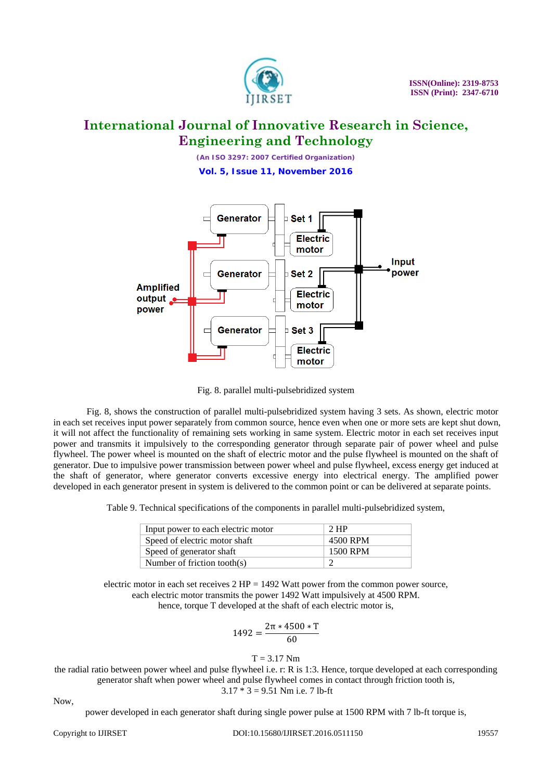

*(An ISO 3297: 2007 Certified Organization)* **Vol. 5, Issue 11, November 2016**



Fig. 8. parallel multi-pulsebridized system

Fig. 8, shows the construction of parallel multi-pulsebridized system having 3 sets. As shown, electric motor in each set receives input power separately from common source, hence even when one or more sets are kept shut down, it will not affect the functionality of remaining sets working in same system. Electric motor in each set receives input power and transmits it impulsively to the corresponding generator through separate pair of power wheel and pulse flywheel. The power wheel is mounted on the shaft of electric motor and the pulse flywheel is mounted on the shaft of generator. Due to impulsive power transmission between power wheel and pulse flywheel, excess energy get induced at the shaft of generator, where generator converts excessive energy into electrical energy. The amplified power developed in each generator present in system is delivered to the common point or can be delivered at separate points.

Table 9. Technical specifications of the components in parallel multi-pulsebridized system,

| Input power to each electric motor | $2$ HP   |
|------------------------------------|----------|
| Speed of electric motor shaft      | 4500 RPM |
| Speed of generator shaft           | 1500 RPM |
| Number of friction tooth $(s)$     |          |

electric motor in each set receives  $2 HP = 1492$  Watt power from the common power source, each electric motor transmits the power 1492 Watt impulsively at 4500 RPM. hence, torque T developed at the shaft of each electric motor is,

$$
1492 = \frac{2\pi * 4500 * T}{60}
$$

### $T = 3.17$  Nm

the radial ratio between power wheel and pulse flywheel i.e. r: R is 1:3. Hence, torque developed at each corresponding generator shaft when power wheel and pulse flywheel comes in contact through friction tooth is,  $3.17 * 3 = 9.51$  Nm i.e. 7 lb-ft

Now,

power developed in each generator shaft during single power pulse at 1500 RPM with 7 lb-ft torque is,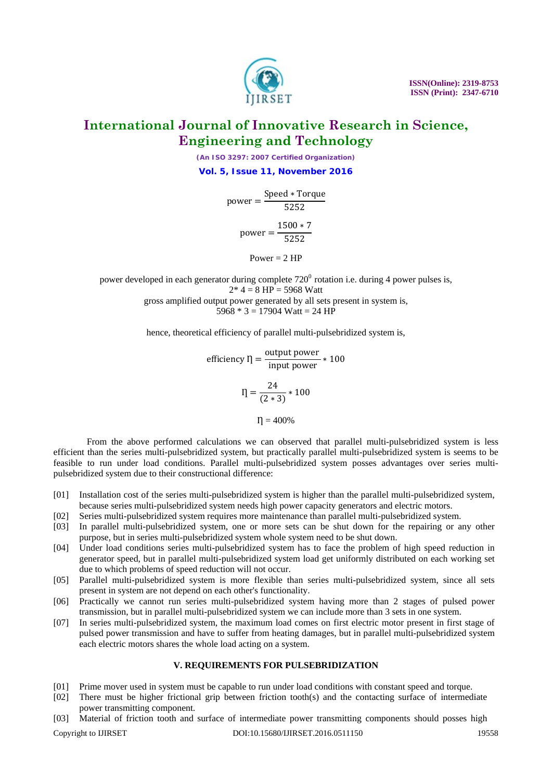*(An ISO 3297: 2007 Certified Organization)* **Vol. 5, Issue 11, November 2016**

 $power = \frac{Speed * Torque}{5252}$ 

 $power = \frac{1500 * 7}{5252}$ 

Power  $= 2$  HP

power developed in each generator during complete  $720^{\circ}$  rotation i.e. during 4 power pulses is,  $2 * 4 = 8 HP = 5968$  Watt gross amplified output power generated by all sets present in system is, 5968  $*$  3 = 17904 Watt = 24 HP

hence, theoretical efficiency of parallel multi-pulsebridized system is,

efficiency  $\eta = \frac{\text{output power}}{\text{input power}} * 100$  $I = \frac{24}{(2 * 3)} * 100$  $\eta = 400\%$ 

From the above performed calculations we can observed that parallel multi-pulsebridized system is less efficient than the series multi-pulsebridized system, but practically parallel multi-pulsebridized system is seems to be feasible to run under load conditions. Parallel multi-pulsebridized system posses advantages over series multipulsebridized system due to their constructional difference:

- [01] Installation cost of the series multi-pulsebridized system is higher than the parallel multi-pulsebridized system, because series multi-pulsebridized system needs high power capacity generators and electric motors.
- [02] Series multi-pulsebridized system requires more maintenance than parallel multi-pulsebridized system.
- [03] In parallel multi-pulsebridized system, one or more sets can be shut down for the repairing or any other purpose, but in series multi-pulsebridized system whole system need to be shut down.
- [04] Under load conditions series multi-pulsebridized system has to face the problem of high speed reduction in generator speed, but in parallel multi-pulsebridized system load get uniformly distributed on each working set due to which problems of speed reduction will not occur.
- [05] Parallel multi-pulsebridized system is more flexible than series multi-pulsebridized system, since all sets present in system are not depend on each other's functionality.
- [06] Practically we cannot run series multi-pulsebridized system having more than 2 stages of pulsed power transmission, but in parallel multi-pulsebridized system we can include more than 3 sets in one system.
- [07] In series multi-pulsebridized system, the maximum load comes on first electric motor present in first stage of pulsed power transmission and have to suffer from heating damages, but in parallel multi-pulsebridized system each electric motors shares the whole load acting on a system.

### **V. REQUIREMENTS FOR PULSEBRIDIZATION**

- [01] Prime mover used in system must be capable to run under load conditions with constant speed and torque.
- [02] There must be higher frictional grip between friction tooth(s) and the contacting surface of intermediate power transmitting component.
- [03] Material of friction tooth and surface of intermediate power transmitting components should posses high

#### Copyright to IJIRSET **DOI:10.15680/IJIRSET.2016.0511150** 19558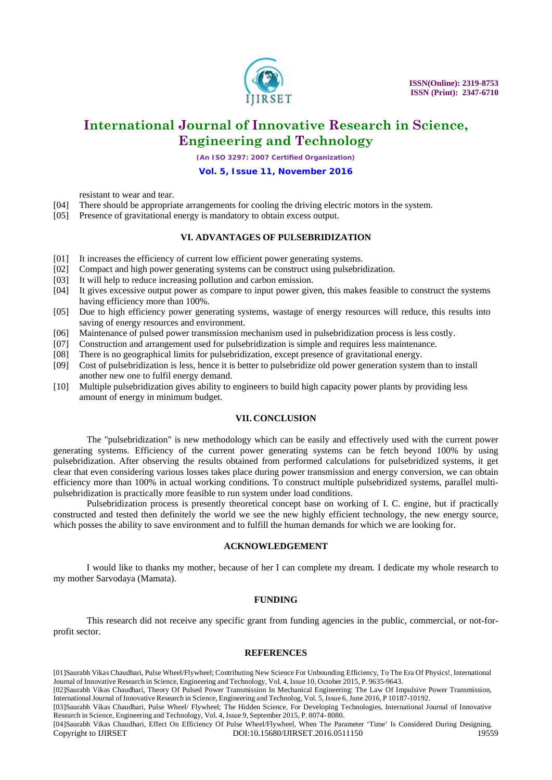

*(An ISO 3297: 2007 Certified Organization)*

#### **Vol. 5, Issue 11, November 2016**

resistant to wear and tear.

- [04] There should be appropriate arrangements for cooling the driving electric motors in the system.
- [05] Presence of gravitational energy is mandatory to obtain excess output.

#### **VI. ADVANTAGES OF PULSEBRIDIZATION**

- [01] It increases the efficiency of current low efficient power generating systems.
- [02] Compact and high power generating systems can be construct using pulsebridization.
- [03] It will help to reduce increasing pollution and carbon emission.
- [04] It gives excessive output power as compare to input power given, this makes feasible to construct the systems having efficiency more than 100%.
- [05] Due to high efficiency power generating systems, wastage of energy resources will reduce, this results into saving of energy resources and environment.
- [06] Maintenance of pulsed power transmission mechanism used in pulsebridization process is less costly.
- [07] Construction and arrangement used for pulsebridization is simple and requires less maintenance.
- [08] There is no geographical limits for pulsebridization, except presence of gravitational energy.
- [09] Cost of pulsebridization is less, hence it is better to pulsebridize old power generation system than to install another new one to fulfil energy demand.
- [10] Multiple pulsebridization gives ability to engineers to build high capacity power plants by providing less amount of energy in minimum budget.

#### **VII. CONCLUSION**

The "pulsebridization" is new methodology which can be easily and effectively used with the current power generating systems. Efficiency of the current power generating systems can be fetch beyond 100% by using pulsebridization. After observing the results obtained from performed calculations for pulsebridized systems, it get clear that even considering various losses takes place during power transmission and energy conversion, we can obtain efficiency more than 100% in actual working conditions. To construct multiple pulsebridized systems, parallel multipulsebridization is practically more feasible to run system under load conditions.

Pulsebridization process is presently theoretical concept base on working of I. C. engine, but if practically constructed and tested then definitely the world we see the new highly efficient technology, the new energy source, which posses the ability to save environment and to fulfill the human demands for which we are looking for.

#### **ACKNOWLEDGEMENT**

I would like to thanks my mother, because of her I can complete my dream. I dedicate my whole research to my mother Sarvodaya (Mamata).

#### **FUNDING**

This research did not receive any specific grant from funding agencies in the public, commercial, or not-forprofit sector.

#### **REFERENCES**

[01]Saurabh Vikas Chaudhari, Pulse Wheel/Flywheel; Contributing New Science For Unbounding Efficiency, To The Era Of Physics!, International Journal of Innovative Research in Science, Engineering and Technology, Vol. 4, Issue 10, October 2015, P. 9635-9643.

[02]Saurabh Vikas Chaudhari, Theory Of Pulsed Power Transmission In Mechanical Engineering: The Law Of Impulsive Power Transmission, International Journal ofInnovative Research in Science, Engineering and Technolog, Vol. 5, Issue 6,June 2016, P 10187-10192.

[03]Saurabh Vikas Chaudhari, Pulse Wheel/ Flywheel; The Hidden Science, For Developing Technologies, International Journal of Innovative Research in Science, Engineering and Technology, Vol. 4, Issue 9, September 2015, P. 8074- 8080.

<sup>[04]</sup>Saurabh Vikas Chaudhari, Effect On Efficiency Of Pulse Wheel/Flywheel, When The Parameter 'Time' Is Considered During Designing, Copyright to IJIRSET **DOI:10.15680/IJIRSET.2016.0511150** 19559